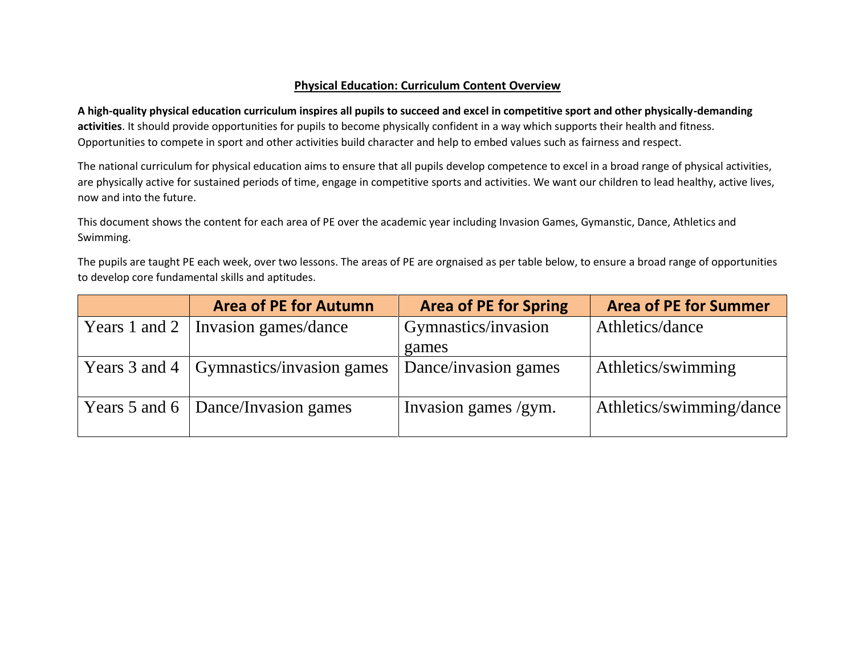# **Physical Education: Curriculum Content Overview**

**A high-quality physical education curriculum inspires all pupils to succeed and excel in competitive sport and other physically-demanding activities**. It should provide opportunities for pupils to become physically confident in a way which supports their health and fitness. Opportunities to compete in sport and other activities build character and help to embed values such as fairness and respect.

The national curriculum for physical education aims to ensure that all pupils develop competence to excel in a broad range of physical activities, are physically active for sustained periods of time, engage in competitive sports and activities. We want our children to lead healthy, active lives, now and into the future.

This document shows the content for each area of PE over the academic year including Invasion Games, Gymanstic, Dance, Athletics and Swimming.

The pupils are taught PE each week, over two lessons. The areas of PE are orgnaised as per table below, to ensure a broad range of opportunities to develop core fundamental skills and aptitudes.

| <b>Area of PE for Autumn</b>                    | <b>Area of PE for Spring</b> | <b>Area of PE for Summer</b> |
|-------------------------------------------------|------------------------------|------------------------------|
| Years 1 and 2   Invasion games/dance            | Gymnastics/invasion          | Athletics/dance              |
|                                                 | games                        |                              |
| Years 3 and 4 $\vert$ Gymnastics/invasion games | Dance/invasion games         | Athletics/swimming           |
| Years 5 and 6   Dance/Invasion games            | Invasion games /gym.         | Athletics/swimming/dance     |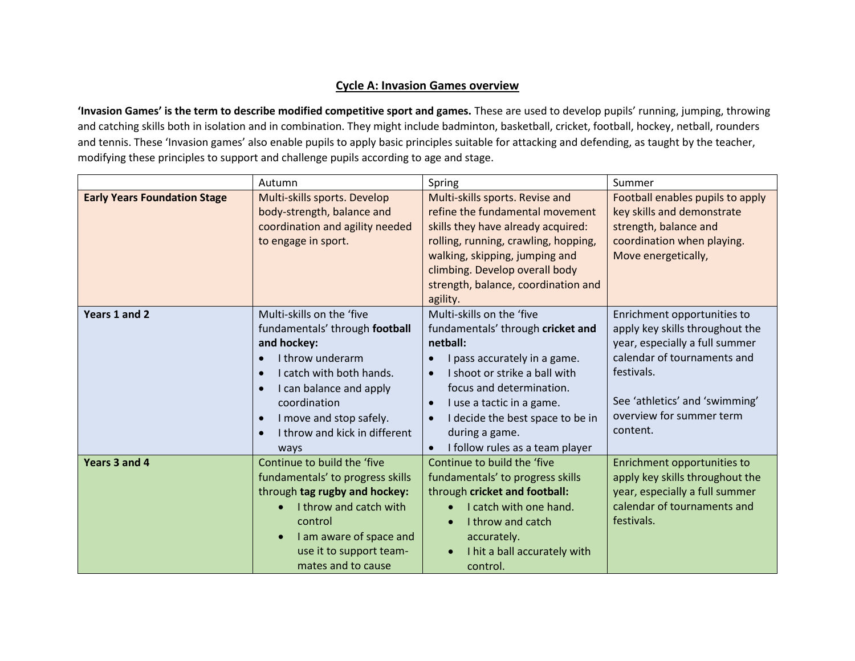# **Cycle A: Invasion Games overview**

**'Invasion Games' is the term to describe modified competitive sport and games.** These are used to develop pupils' running, jumping, throwing and catching skills both in isolation and in combination. They might include badminton, basketball, cricket, football, hockey, netball, rounders and tennis. These 'Invasion games' also enable pupils to apply basic principles suitable for attacking and defending, as taught by the teacher, modifying these principles to support and challenge pupils according to age and stage.

|                                     | Autumn                                                                                                                                                                                                                                                                            | Spring                                                                                                                                                                                                                                                                                                                  | Summer                                                                                                                                                                                                                  |
|-------------------------------------|-----------------------------------------------------------------------------------------------------------------------------------------------------------------------------------------------------------------------------------------------------------------------------------|-------------------------------------------------------------------------------------------------------------------------------------------------------------------------------------------------------------------------------------------------------------------------------------------------------------------------|-------------------------------------------------------------------------------------------------------------------------------------------------------------------------------------------------------------------------|
| <b>Early Years Foundation Stage</b> | Multi-skills sports. Develop<br>body-strength, balance and<br>coordination and agility needed<br>to engage in sport.                                                                                                                                                              | Multi-skills sports. Revise and<br>refine the fundamental movement<br>skills they have already acquired:<br>rolling, running, crawling, hopping,<br>walking, skipping, jumping and<br>climbing. Develop overall body<br>strength, balance, coordination and<br>agility.                                                 | Football enables pupils to apply<br>key skills and demonstrate<br>strength, balance and<br>coordination when playing.<br>Move energetically,                                                                            |
| Years 1 and 2                       | Multi-skills on the 'five<br>fundamentals' through football<br>and hockey:<br>I throw underarm<br>I catch with both hands.<br>I can balance and apply<br>$\bullet$<br>coordination<br>I move and stop safely.<br>$\bullet$<br>I throw and kick in different<br>$\epsilon$<br>ways | Multi-skills on the 'five<br>fundamentals' through cricket and<br>netball:<br>I pass accurately in a game.<br>I shoot or strike a ball with<br>focus and determination.<br>I use a tactic in a game.<br>$\bullet$<br>I decide the best space to be in<br>$\bullet$<br>during a game.<br>I follow rules as a team player | Enrichment opportunities to<br>apply key skills throughout the<br>year, especially a full summer<br>calendar of tournaments and<br>festivals.<br>See 'athletics' and 'swimming'<br>overview for summer term<br>content. |
| Years 3 and 4                       | Continue to build the 'five<br>fundamentals' to progress skills<br>through tag rugby and hockey:<br>I throw and catch with<br>control<br>I am aware of space and<br>use it to support team-<br>mates and to cause                                                                 | Continue to build the 'five<br>fundamentals' to progress skills<br>through cricket and football:<br>I catch with one hand.<br>I throw and catch<br>accurately.<br>I hit a ball accurately with<br>$\bullet$<br>control.                                                                                                 | Enrichment opportunities to<br>apply key skills throughout the<br>year, especially a full summer<br>calendar of tournaments and<br>festivals.                                                                           |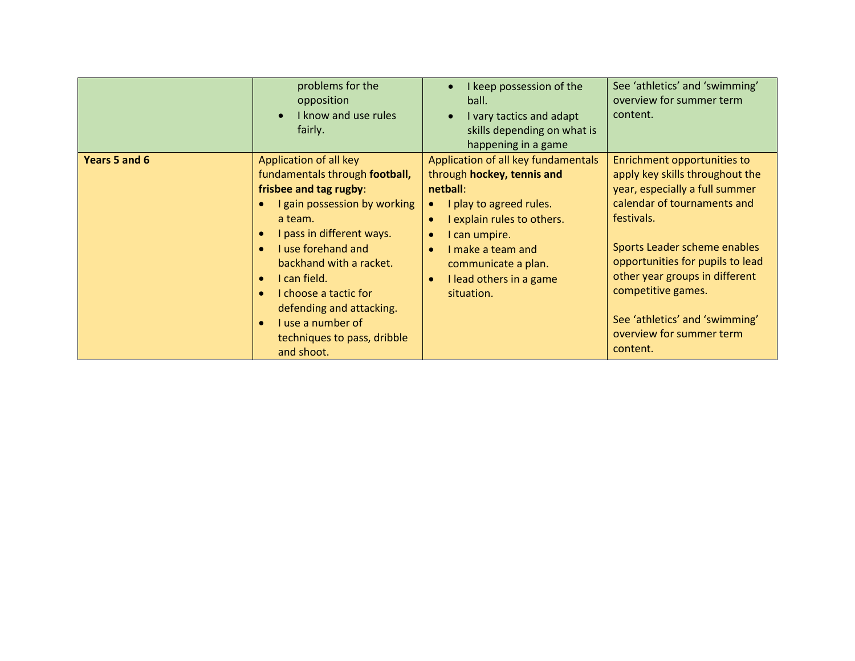|               | problems for the<br>opposition<br>I know and use rules<br>fairly.                                                                                                                                                                                                                                                                                                                                      | I keep possession of the<br>ball.<br>I vary tactics and adapt<br>skills depending on what is<br>happening in a game                                                                                                                                                                 | See 'athletics' and 'swimming'<br>overview for summer term<br>content.                                                                                                                                                                                                                                                                              |
|---------------|--------------------------------------------------------------------------------------------------------------------------------------------------------------------------------------------------------------------------------------------------------------------------------------------------------------------------------------------------------------------------------------------------------|-------------------------------------------------------------------------------------------------------------------------------------------------------------------------------------------------------------------------------------------------------------------------------------|-----------------------------------------------------------------------------------------------------------------------------------------------------------------------------------------------------------------------------------------------------------------------------------------------------------------------------------------------------|
| Years 5 and 6 | Application of all key<br>fundamentals through football,<br>frisbee and tag rugby:<br>I gain possession by working<br>a team.<br>I pass in different ways.<br>I use forehand and<br>$\bullet$<br>backhand with a racket.<br>I can field.<br>$\bullet$<br>I choose a tactic for<br>$\bullet$<br>defending and attacking.<br>I use a number of<br>$\bullet$<br>techniques to pass, dribble<br>and shoot. | Application of all key fundamentals<br>through hockey, tennis and<br>netball:<br>I play to agreed rules.<br>I explain rules to others.<br>I can umpire.<br>$\bullet$<br>I make a team and<br>$\bullet$<br>communicate a plan.<br>I lead others in a game<br>$\bullet$<br>situation. | Enrichment opportunities to<br>apply key skills throughout the<br>year, especially a full summer<br>calendar of tournaments and<br>festivals.<br>Sports Leader scheme enables<br>opportunities for pupils to lead<br>other year groups in different<br>competitive games.<br>See 'athletics' and 'swimming'<br>overview for summer term<br>content. |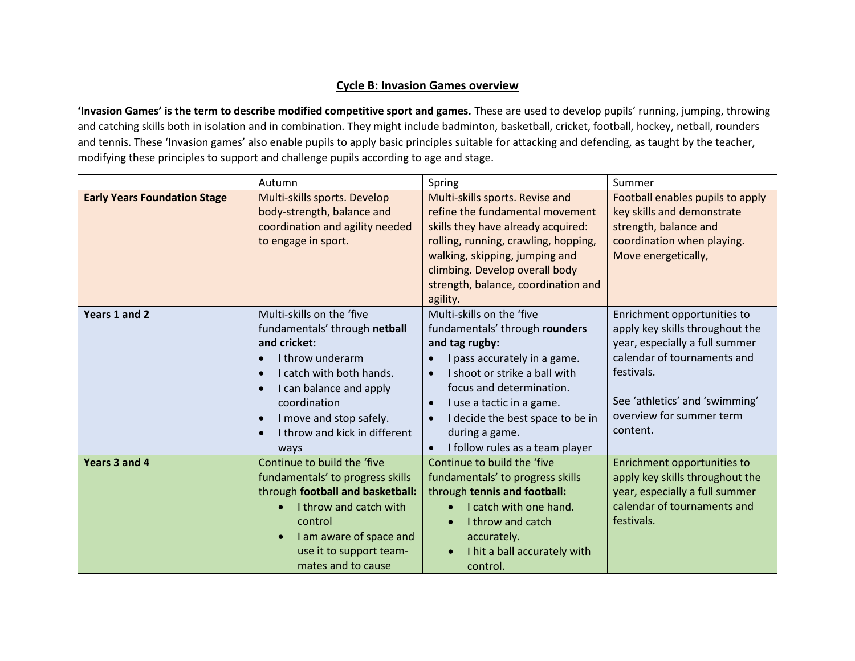## **Cycle B: Invasion Games overview**

**'Invasion Games' is the term to describe modified competitive sport and games.** These are used to develop pupils' running, jumping, throwing and catching skills both in isolation and in combination. They might include badminton, basketball, cricket, football, hockey, netball, rounders and tennis. These 'Invasion games' also enable pupils to apply basic principles suitable for attacking and defending, as taught by the teacher, modifying these principles to support and challenge pupils according to age and stage.

|                                     | Autumn                                                                                                                                                                                                                                                                                          | Spring                                                                                                                                                                                                                                                                                                                                  | Summer                                                                                                                                                                                                                  |
|-------------------------------------|-------------------------------------------------------------------------------------------------------------------------------------------------------------------------------------------------------------------------------------------------------------------------------------------------|-----------------------------------------------------------------------------------------------------------------------------------------------------------------------------------------------------------------------------------------------------------------------------------------------------------------------------------------|-------------------------------------------------------------------------------------------------------------------------------------------------------------------------------------------------------------------------|
| <b>Early Years Foundation Stage</b> | Multi-skills sports. Develop<br>body-strength, balance and<br>coordination and agility needed<br>to engage in sport.                                                                                                                                                                            | Multi-skills sports. Revise and<br>refine the fundamental movement<br>skills they have already acquired:<br>rolling, running, crawling, hopping,<br>walking, skipping, jumping and<br>climbing. Develop overall body<br>strength, balance, coordination and<br>agility.                                                                 | Football enables pupils to apply<br>key skills and demonstrate<br>strength, balance and<br>coordination when playing.<br>Move energetically,                                                                            |
| Years 1 and 2                       | Multi-skills on the 'five<br>fundamentals' through netball<br>and cricket:<br>I throw underarm<br>I catch with both hands.<br>$\epsilon$<br>I can balance and apply<br>$\bullet$<br>coordination<br>I move and stop safely.<br>$\bullet$<br>I throw and kick in different<br>$\epsilon$<br>ways | Multi-skills on the 'five<br>fundamentals' through rounders<br>and tag rugby:<br>I pass accurately in a game.<br>$\bullet$<br>I shoot or strike a ball with<br>focus and determination.<br>I use a tactic in a game.<br>$\bullet$<br>I decide the best space to be in<br>$\bullet$<br>during a game.<br>I follow rules as a team player | Enrichment opportunities to<br>apply key skills throughout the<br>year, especially a full summer<br>calendar of tournaments and<br>festivals.<br>See 'athletics' and 'swimming'<br>overview for summer term<br>content. |
| Years 3 and 4                       | Continue to build the 'five<br>fundamentals' to progress skills<br>through football and basketball:<br>I throw and catch with<br>control<br>I am aware of space and<br>use it to support team-<br>mates and to cause                                                                            | Continue to build the 'five<br>fundamentals' to progress skills<br>through tennis and football:<br>I catch with one hand.<br>I throw and catch<br>accurately.<br>I hit a ball accurately with<br>$\bullet$<br>control.                                                                                                                  | Enrichment opportunities to<br>apply key skills throughout the<br>year, especially a full summer<br>calendar of tournaments and<br>festivals.                                                                           |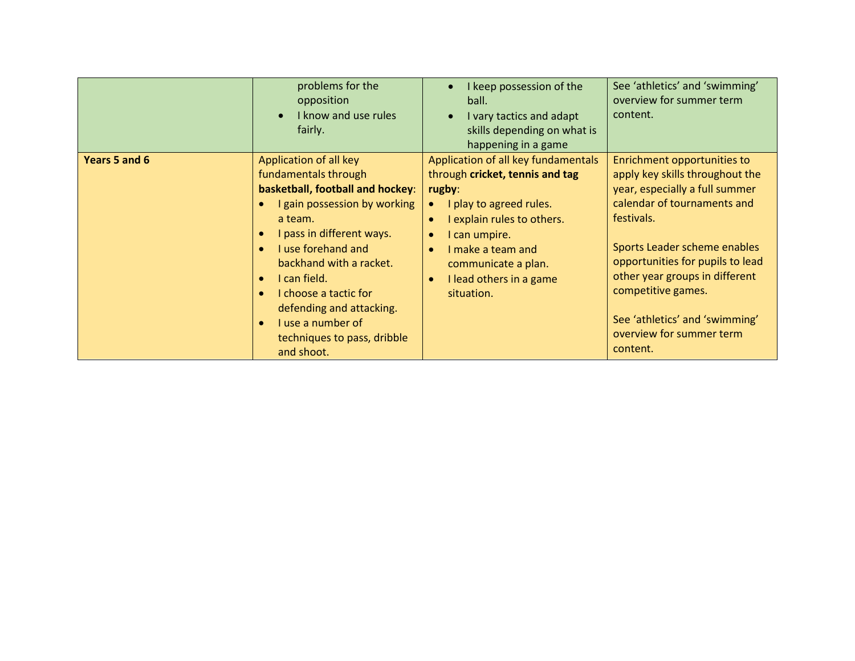|               | problems for the<br>opposition<br>I know and use rules<br>fairly.                                                                                                                                                                                                                                                                                                                                      | I keep possession of the<br>ball.<br>I vary tactics and adapt<br>skills depending on what is<br>happening in a game                                                                                                                                                                    | See 'athletics' and 'swimming'<br>overview for summer term<br>content.                                                                                                                                                                                                                                                                              |
|---------------|--------------------------------------------------------------------------------------------------------------------------------------------------------------------------------------------------------------------------------------------------------------------------------------------------------------------------------------------------------------------------------------------------------|----------------------------------------------------------------------------------------------------------------------------------------------------------------------------------------------------------------------------------------------------------------------------------------|-----------------------------------------------------------------------------------------------------------------------------------------------------------------------------------------------------------------------------------------------------------------------------------------------------------------------------------------------------|
| Years 5 and 6 | Application of all key<br>fundamentals through<br>basketball, football and hockey:<br>I gain possession by working<br>a team.<br>I pass in different ways.<br>I use forehand and<br>$\bullet$<br>backhand with a racket.<br>I can field.<br>$\bullet$<br>I choose a tactic for<br>$\bullet$<br>defending and attacking.<br>I use a number of<br>$\bullet$<br>techniques to pass, dribble<br>and shoot. | Application of all key fundamentals<br>through cricket, tennis and tag<br>rugby:<br>I play to agreed rules.<br>I explain rules to others.<br>I can umpire.<br>$\bullet$<br>I make a team and<br>$\bullet$<br>communicate a plan.<br>I lead others in a game<br>$\bullet$<br>situation. | Enrichment opportunities to<br>apply key skills throughout the<br>year, especially a full summer<br>calendar of tournaments and<br>festivals.<br>Sports Leader scheme enables<br>opportunities for pupils to lead<br>other year groups in different<br>competitive games.<br>See 'athletics' and 'swimming'<br>overview for summer term<br>content. |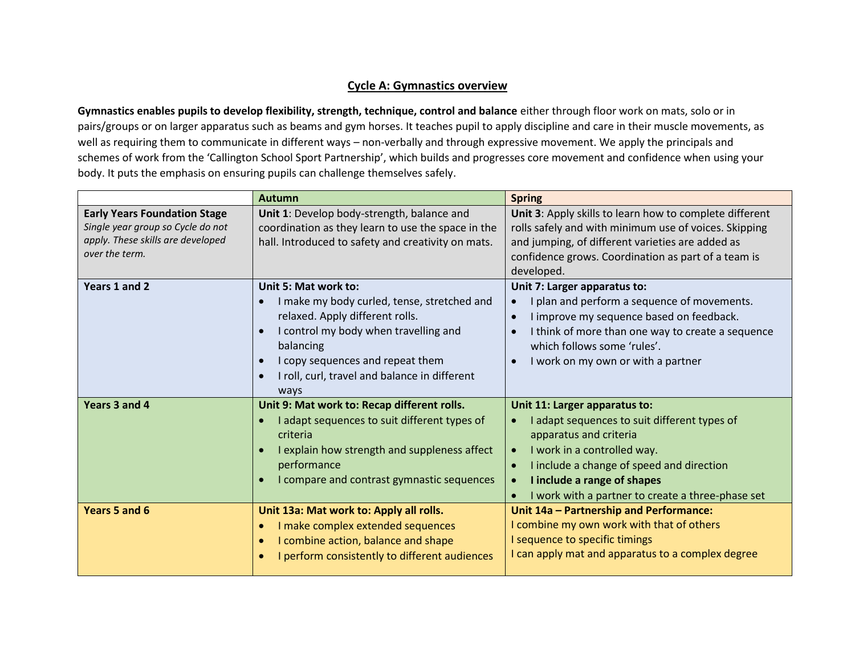## **Cycle A: Gymnastics overview**

**Gymnastics enables pupils to develop flexibility, strength, technique, control and balance** either through floor work on mats, solo or in pairs/groups or on larger apparatus such as beams and gym horses. It teaches pupil to apply discipline and care in their muscle movements, as well as requiring them to communicate in different ways – non-verbally and through expressive movement. We apply the principals and schemes of work from the 'Callington School Sport Partnership', which builds and progresses core movement and confidence when using your body. It puts the emphasis on ensuring pupils can challenge themselves safely.

|                                                                          | <b>Autumn</b>                                                                                                                                                                                                                                             | <b>Spring</b>                                                                                                                                                                                                                                                                                                               |
|--------------------------------------------------------------------------|-----------------------------------------------------------------------------------------------------------------------------------------------------------------------------------------------------------------------------------------------------------|-----------------------------------------------------------------------------------------------------------------------------------------------------------------------------------------------------------------------------------------------------------------------------------------------------------------------------|
| <b>Early Years Foundation Stage</b><br>Single year group so Cycle do not | Unit 1: Develop body-strength, balance and<br>coordination as they learn to use the space in the                                                                                                                                                          | Unit 3: Apply skills to learn how to complete different<br>rolls safely and with minimum use of voices. Skipping                                                                                                                                                                                                            |
| apply. These skills are developed<br>over the term.                      | hall. Introduced to safety and creativity on mats.                                                                                                                                                                                                        | and jumping, of different varieties are added as<br>confidence grows. Coordination as part of a team is<br>developed.                                                                                                                                                                                                       |
| Years 1 and 2                                                            | Unit 5: Mat work to:<br>I make my body curled, tense, stretched and<br>relaxed. Apply different rolls.<br>I control my body when travelling and<br>balancing<br>I copy sequences and repeat them<br>I roll, curl, travel and balance in different<br>ways | Unit 7: Larger apparatus to:<br>I plan and perform a sequence of movements.<br>$\bullet$<br>I improve my sequence based on feedback.<br>$\bullet$<br>I think of more than one way to create a sequence<br>$\bullet$<br>which follows some 'rules'.<br>I work on my own or with a partner<br>$\bullet$                       |
| Years 3 and 4                                                            | Unit 9: Mat work to: Recap different rolls.<br>I adapt sequences to suit different types of<br>criteria<br>I explain how strength and suppleness affect<br>performance<br>I compare and contrast gymnastic sequences                                      | Unit 11: Larger apparatus to:<br>I adapt sequences to suit different types of<br>$\bullet$<br>apparatus and criteria<br>I work in a controlled way.<br>$\bullet$<br>I include a change of speed and direction<br>$\bullet$<br>I include a range of shapes<br>$\bullet$<br>I work with a partner to create a three-phase set |
| Years 5 and 6                                                            | Unit 13a: Mat work to: Apply all rolls.<br>I make complex extended sequences<br>I combine action, balance and shape<br>I perform consistently to different audiences                                                                                      | Unit 14a - Partnership and Performance:<br>I combine my own work with that of others<br>I sequence to specific timings<br>I can apply mat and apparatus to a complex degree                                                                                                                                                 |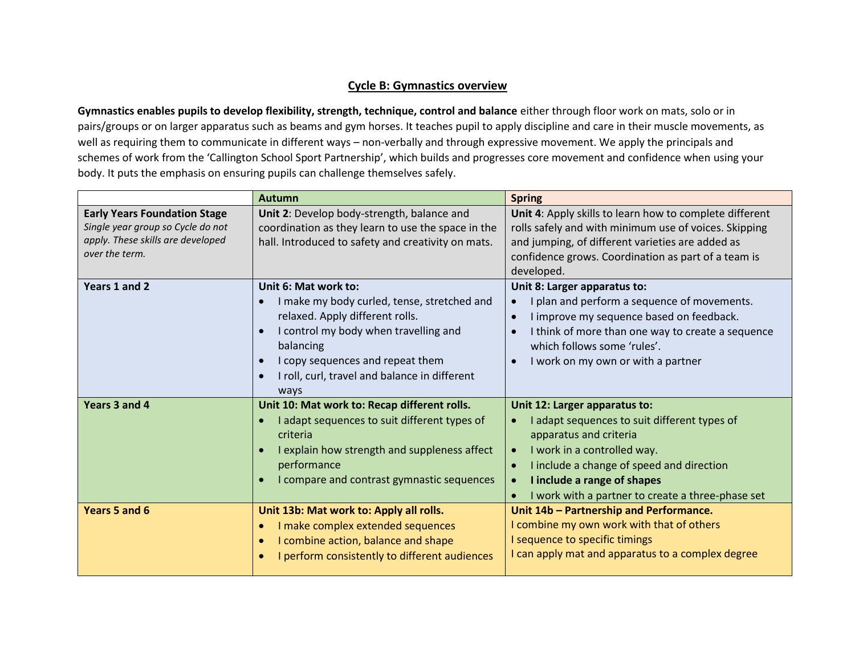## **Cycle B: Gymnastics overview**

**Gymnastics enables pupils to develop flexibility, strength, technique, control and balance** either through floor work on mats, solo or in pairs/groups or on larger apparatus such as beams and gym horses. It teaches pupil to apply discipline and care in their muscle movements, as well as requiring them to communicate in different ways – non-verbally and through expressive movement. We apply the principals and schemes of work from the 'Callington School Sport Partnership', which builds and progresses core movement and confidence when using your body. It puts the emphasis on ensuring pupils can challenge themselves safely.

|                                     | <b>Autumn</b>                                      | <b>Spring</b>                                                  |
|-------------------------------------|----------------------------------------------------|----------------------------------------------------------------|
| <b>Early Years Foundation Stage</b> | Unit 2: Develop body-strength, balance and         | Unit 4: Apply skills to learn how to complete different        |
| Single year group so Cycle do not   | coordination as they learn to use the space in the | rolls safely and with minimum use of voices. Skipping          |
| apply. These skills are developed   | hall. Introduced to safety and creativity on mats. | and jumping, of different varieties are added as               |
| over the term.                      |                                                    | confidence grows. Coordination as part of a team is            |
|                                     |                                                    | developed.                                                     |
| Years 1 and 2                       | Unit 6: Mat work to:                               | Unit 8: Larger apparatus to:                                   |
|                                     | I make my body curled, tense, stretched and        | I plan and perform a sequence of movements.                    |
|                                     | relaxed. Apply different rolls.                    | I improve my sequence based on feedback.<br>$\bullet$          |
|                                     | I control my body when travelling and              | I think of more than one way to create a sequence<br>$\bullet$ |
|                                     | balancing                                          | which follows some 'rules'.                                    |
|                                     | I copy sequences and repeat them                   | I work on my own or with a partner<br>$\bullet$                |
|                                     | I roll, curl, travel and balance in different      |                                                                |
|                                     | ways                                               |                                                                |
| Years 3 and 4                       | Unit 10: Mat work to: Recap different rolls.       | Unit 12: Larger apparatus to:                                  |
|                                     | I adapt sequences to suit different types of       | I adapt sequences to suit different types of<br>$\bullet$      |
|                                     | criteria                                           | apparatus and criteria                                         |
|                                     | I explain how strength and suppleness affect       | I work in a controlled way.<br>$\bullet$                       |
|                                     | performance                                        | I include a change of speed and direction                      |
|                                     | I compare and contrast gymnastic sequences         | I include a range of shapes<br>$\bullet$                       |
|                                     |                                                    | I work with a partner to create a three-phase set              |
| Years 5 and 6                       | Unit 13b: Mat work to: Apply all rolls.            | Unit 14b - Partnership and Performance.                        |
|                                     | I make complex extended sequences                  | I combine my own work with that of others                      |
|                                     | I combine action, balance and shape                | I sequence to specific timings                                 |
|                                     | I perform consistently to different audiences      | I can apply mat and apparatus to a complex degree              |
|                                     |                                                    |                                                                |